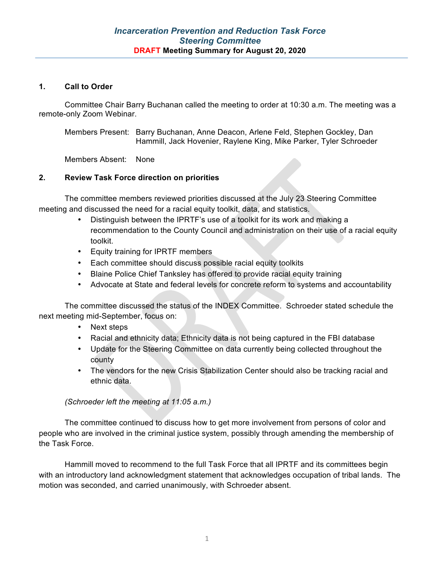#### **1. Call to Order**

Committee Chair Barry Buchanan called the meeting to order at 10:30 a.m. The meeting was a remote-only Zoom Webinar.

Members Present: Barry Buchanan, Anne Deacon, Arlene Feld, Stephen Gockley, Dan Hammill, Jack Hovenier, Raylene King, Mike Parker, Tyler Schroeder

Members Absent: None

## **2. Review Task Force direction on priorities**

The committee members reviewed priorities discussed at the July 23 Steering Committee meeting and discussed the need for a racial equity toolkit, data, and statistics.

- Distinguish between the IPRTF's use of a toolkit for its work and making a recommendation to the County Council and administration on their use of a racial equity toolkit.
- Equity training for IPRTF members
- Each committee should discuss possible racial equity toolkits
- Blaine Police Chief Tanksley has offered to provide racial equity training
- Advocate at State and federal levels for concrete reform to systems and accountability

The committee discussed the status of the INDEX Committee. Schroeder stated schedule the next meeting mid-September, focus on:

- Next steps
- Racial and ethnicity data; Ethnicity data is not being captured in the FBI database
- Update for the Steering Committee on data currently being collected throughout the county
- The vendors for the new Crisis Stabilization Center should also be tracking racial and ethnic data.

*(Schroeder left the meeting at 11:05 a.m.)*

The committee continued to discuss how to get more involvement from persons of color and people who are involved in the criminal justice system, possibly through amending the membership of the Task Force.

Hammill moved to recommend to the full Task Force that all IPRTF and its committees begin with an introductory land acknowledgment statement that acknowledges occupation of tribal lands. The motion was seconded, and carried unanimously, with Schroeder absent.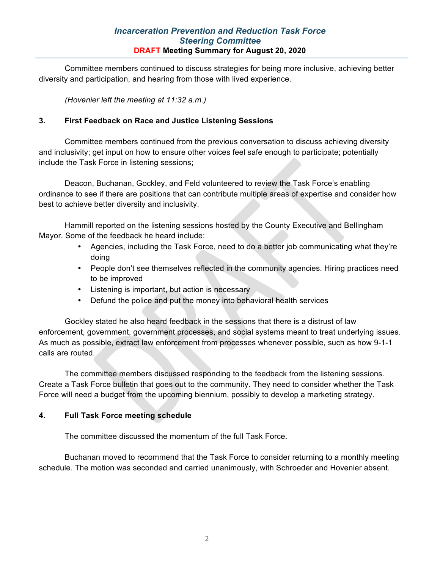## *Incarceration Prevention and Reduction Task Force Steering Committee* **DRAFT Meeting Summary for August 20, 2020**

Committee members continued to discuss strategies for being more inclusive, achieving better diversity and participation, and hearing from those with lived experience.

*(Hovenier left the meeting at 11:32 a.m.)*

## **3. First Feedback on Race and Justice Listening Sessions**

Committee members continued from the previous conversation to discuss achieving diversity and inclusivity; get input on how to ensure other voices feel safe enough to participate; potentially include the Task Force in listening sessions;

Deacon, Buchanan, Gockley, and Feld volunteered to review the Task Force's enabling ordinance to see if there are positions that can contribute multiple areas of expertise and consider how best to achieve better diversity and inclusivity.

Hammill reported on the listening sessions hosted by the County Executive and Bellingham Mayor. Some of the feedback he heard include:

- Agencies, including the Task Force, need to do a better job communicating what they're doing
- People don't see themselves reflected in the community agencies. Hiring practices need to be improved
- Listening is important, but action is necessary
- Defund the police and put the money into behavioral health services

Gockley stated he also heard feedback in the sessions that there is a distrust of law enforcement, government, government processes, and social systems meant to treat underlying issues. As much as possible, extract law enforcement from processes whenever possible, such as how 9-1-1 calls are routed.

The committee members discussed responding to the feedback from the listening sessions. Create a Task Force bulletin that goes out to the community. They need to consider whether the Task Force will need a budget from the upcoming biennium, possibly to develop a marketing strategy.

#### **4. Full Task Force meeting schedule**

The committee discussed the momentum of the full Task Force.

Buchanan moved to recommend that the Task Force to consider returning to a monthly meeting schedule. The motion was seconded and carried unanimously, with Schroeder and Hovenier absent.